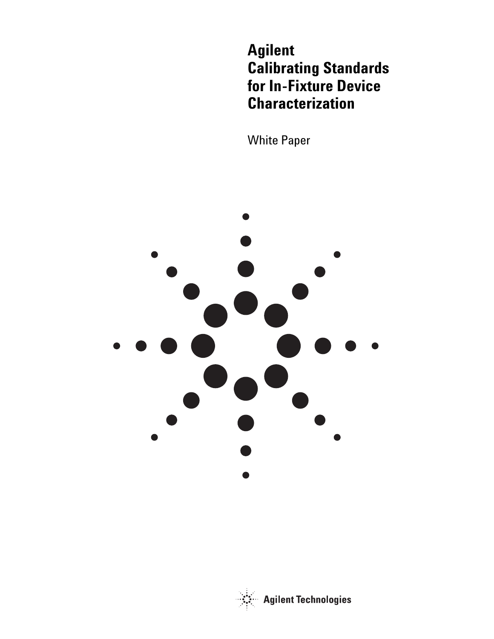**Agilent Calibrating Standards for In-Fixture Device Characterization**

White Paper



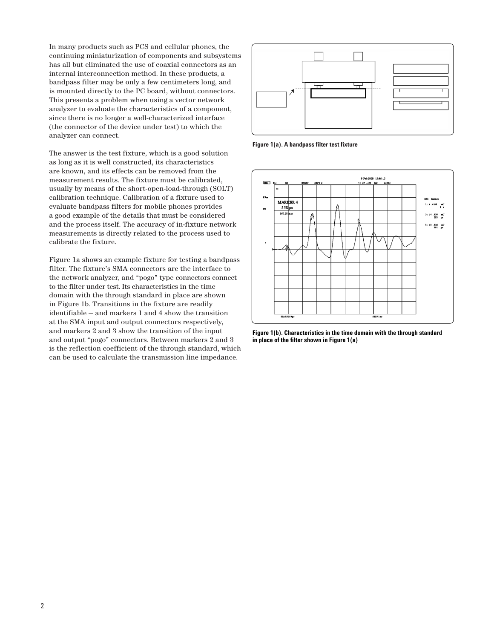In many products such as PCS and cellular phones, the continuing miniaturization of components and subsystems has all but eliminated the use of coaxial connectors as an internal interconnection method. In these products, a bandpass filter may be only a few centimeters long, and is mounted directly to the PC board, without connectors. This presents a problem when using a vector network analyzer to evaluate the characteristics of a component, since there is no longer a well-characterized interface (the connector of the device under test) to which the analyzer can connect.

The answer is the test fixture, which is a good solution as long as it is well constructed, its characteristics are known, and its effects can be removed from the measurement results. The fixture must be calibrated, usually by means of the short-open-load-through (SOLT) calibration technique. Calibration of a fixture used to evaluate bandpass filters for mobile phones provides a good example of the details that must be considered and the process itself. The accuracy of in-fixture network measurements is directly related to the process used to calibrate the fixture.

Figure 1a shows an example fixture for testing a bandpass filter. The fixture's SMA connectors are the interface to the network analyzer, and "pogo" type connectors connect to the filter under test. Its characteristics in the time domain with the through standard in place are shown in Figure 1b. Transitions in the fixture are readily identifiable — and markers 1 and 4 show the transition at the SMA input and output connectors respectively, and markers 2 and 3 show the transition of the input and output "pogo" connectors. Between markers 2 and 3 is the reflection coefficient of the through standard, which can be used to calculate the transmission line impedance.



**Figure 1(a). A bandpass filter test fixture**



**Figure 1(b). Characteristics in the time domain with the through standard in place of the filter shown in Figure 1(a)**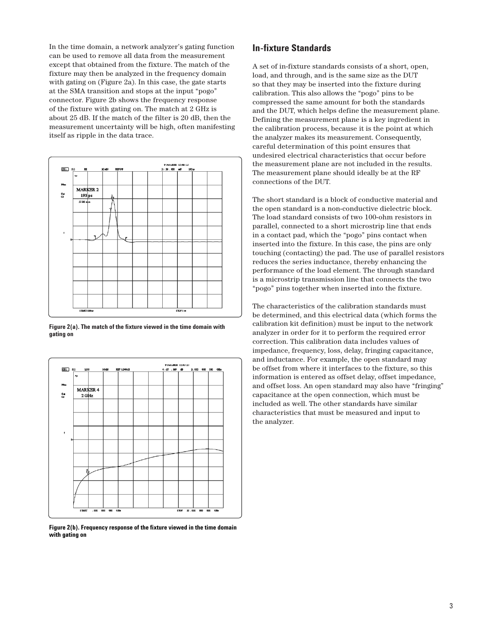In the time domain, a network analyzer's gating function can be used to remove all data from the measurement except that obtained from the fixture. The match of the fixture may then be analyzed in the frequency domain with gating on (Figure 2a). In this case, the gate starts at the SMA transition and stops at the input "pogo" connector. Figure 2b shows the frequency response of the fixture with gating on. The match at 2 GHz is about 25 dB. If the match of the filter is 20 dB, then the measurement uncertainty will be high, often manifesting itself as ripple in the data trace.



**Figure 2(a). The match of the fixture viewed in the time domain with gating on**



**Figure 2(b). Frequency response of the fixture viewed in the time domain with gating on**

# **In-fixture Standards**

A set of in-fixture standards consists of a short, open, load, and through, and is the same size as the DUT so that they may be inserted into the fixture during calibration. This also allows the "pogo" pins to be compressed the same amount for both the standards and the DUT, which helps define the measurement plane. Defining the measurement plane is a key ingredient in the calibration process, because it is the point at which the analyzer makes its measurement. Consequently, careful determination of this point ensures that undesired electrical characteristics that occur before the measurement plane are not included in the results. The measurement plane should ideally be at the RF connections of the DUT.

The short standard is a block of conductive material and the open standard is a non-conductive dielectric block. The load standard consists of two 100-ohm resistors in parallel, connected to a short microstrip line that ends in a contact pad, which the "pogo" pins contact when inserted into the fixture. In this case, the pins are only touching (contacting) the pad. The use of parallel resistors reduces the series inductance, thereby enhancing the performance of the load element. The through standard is a microstrip transmission line that connects the two "pogo" pins together when inserted into the fixture.

The characteristics of the calibration standards must be determined, and this electrical data (which forms the calibration kit definition) must be input to the network analyzer in order for it to perform the required error correction. This calibration data includes values of impedance, frequency, loss, delay, fringing capacitance, and inductance. For example, the open standard may be offset from where it interfaces to the fixture, so this information is entered as offset delay, offset impedance, and offset loss. An open standard may also have "fringing" capacitance at the open connection, which must be included as well. The other standards have similar characteristics that must be measured and input to the analyzer.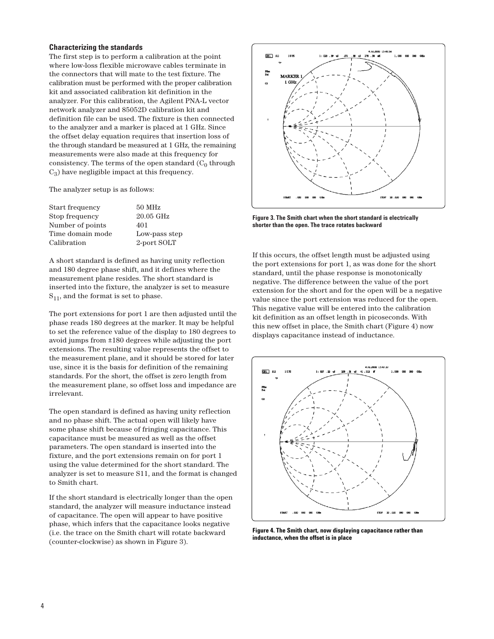#### **Characterizing the standards**

The first step is to perform a calibration at the point where low-loss flexible microwave cables terminate in the connectors that will mate to the test fixture. The calibration must be performed with the proper calibration kit and associated calibration kit definition in the analyzer. For this calibration, the Agilent PNA-L vector network analyzer and 85052D calibration kit and definition file can be used. The fixture is then connected to the analyzer and a marker is placed at 1 GHz. Since the offset delay equation requires that insertion loss of the through standard be measured at 1 GHz, the remaining measurements were also made at this frequency for consistency. The terms of the open standard  $(C_0$  through  $C_3$ ) have negligible impact at this frequency.

The analyzer setup is as follows:

| Start frequency  | $50$ MHz      |
|------------------|---------------|
| Stop frequency   | $20.05$ GHz   |
| Number of points | 401           |
| Time domain mode | Low-pass step |
| Calibration      | 2-port SOLT   |

A short standard is defined as having unity reflection and 180 degree phase shift, and it defines where the measurement plane resides. The short standard is inserted into the fixture, the analyzer is set to measure  $S_{11}$ , and the format is set to phase.

The port extensions for port 1 are then adjusted until the phase reads 180 degrees at the marker. It may be helpful to set the reference value of the display to 180 degrees to avoid jumps from ±180 degrees while adjusting the port extensions. The resulting value represents the offset to the measurement plane, and it should be stored for later use, since it is the basis for definition of the remaining standards. For the short, the offset is zero length from the measurement plane, so offset loss and impedance are irrelevant.

The open standard is defined as having unity reflection and no phase shift. The actual open will likely have some phase shift because of fringing capacitance. This capacitance must be measured as well as the offset parameters. The open standard is inserted into the fixture, and the port extensions remain on for port 1 using the value determined for the short standard. The analyzer is set to measure S11, and the format is changed to Smith chart.

If the short standard is electrically longer than the open standard, the analyzer will measure inductance instead of capacitance. The open will appear to have positive phase, which infers that the capacitance looks negative (i.e. the trace on the Smith chart will rotate backward (counter-clockwise) as shown in Figure 3).



**Figure 3. The Smith chart when the short standard is electrically shorter than the open. The trace rotates backward**

If this occurs, the offset length must be adjusted using the port extensions for port 1, as was done for the short standard, until the phase response is monotonically negative. The difference between the value of the port extension for the short and for the open will be a negative value since the port extension was reduced for the open. This negative value will be entered into the calibration kit definition as an offset length in picoseconds. With this new offset in place, the Smith chart (Figure 4) now displays capacitance instead of inductance.



**Figure 4. The Smith chart, now displaying capacitance rather than inductance, when the offset is in place**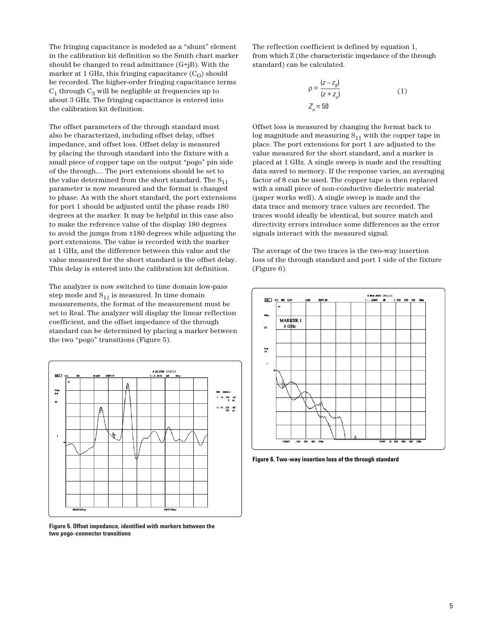The fringing capacitance is modeled as a "shunt" element in the calibration kit definition so the Smith chart marker should be changed to read admittance (G+jB). With the marker at 1 GHz, this fringing capacitance  $(C<sub>O</sub>)$  should be recorded. The higher-order fringing capacitance terms  $C_1$  through  $C_3$  will be negligible at frequencies up to about 3 GHz. The fringing capacitance is entered into the calibration kit definition.

The offset parameters of the through standard must also be characterized, including offset delay, offset impedance, and offset loss. Offset delay is measured by placing the through standard into the fixture with a small piece of copper tape on the output "pogo" pin side of the through.... The port extensions should be set to the value determined from the short standard. The  $S_{11}$ parameter is now measured and the format is changed to phase. As with the short standard, the port extensions for port 1 should be adjusted until the phase reads 180 degrees at the marker. It may be helpful in this case also to make the reference value of the display 180 degrees to avoid the jumps from ±180 degrees while adjusting the port extensions. The value is recorded with the marker at 1 GHz, and the difference between this value and the value measured for the short standard is the offset delay. This delay is entered into the calibration kit definition.

The analyzer is now switched to time domain low-pass step mode and  $S_{11}$  is measured. In time domain measurements, the format of the measurement must be set to Real. The analyzer will display the linear reflection coefficient, and the offset impedance of the through standard can be determined by placing a marker between the two "pogo" transitions (Figure 5).



**Figure 5. Offset impedance, identified with markers between the two pogo-connector transitions**

The reflection coefficient is defined by equation 1, from which Z (the characteristic impedance of the through standard) can be calculated.

$$
\rho = \frac{(z - z_0)}{(z + z_0)}
$$
  
\n
$$
Z_o = 50
$$
\n(1)

Offset loss is measured by changing the format back to log magnitude and measuring  $S_{11}$  with the copper tape in place. The port extensions for port 1 are adjusted to the value measured for the short standard, and a marker is placed at 1 GHz. A single sweep is made and the resulting data saved to memory. If the response varies, an averaging factor of 8 can be used. The copper tape is then replaced with a small piece of non-conductive dielectric material (paper works well). A single sweep is made and the data trace and memory trace values are recorded. The traces would ideally be identical, but source match and directivity errors introduce some differences as the error signals interact with the measured signal.

The average of the two traces is the two-way insertion loss of the through standard and port 1 side of the fixture (Figure 6).



**Figure 6. Two-way insertion loss of the through standard**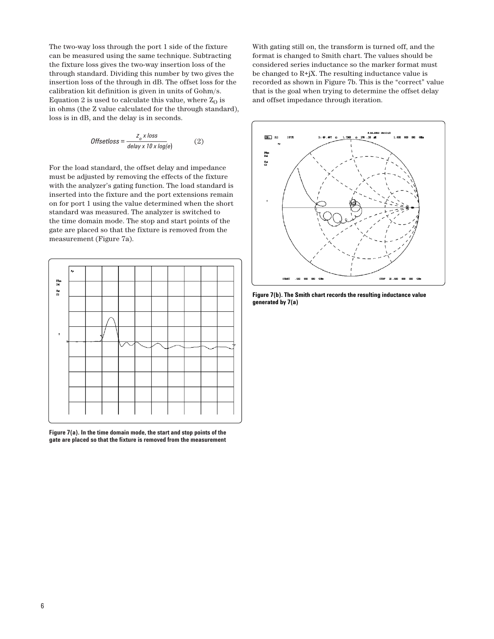The two-way loss through the port 1 side of the fixture can be measured using the same technique. Subtracting the fixture loss gives the two-way insertion loss of the through standard. Dividing this number by two gives the insertion loss of the through in dB. The offset loss for the calibration kit definition is given in units of Gohm/s. Equation 2 is used to calculate this value, where  $Z_0$  is in ohms (the Z value calculated for the through standard), loss is in dB, and the delay is in seconds.

$$
Offsetloss = \frac{z_o \times loss}{delay \times 10 \times log(e)}\tag{2}
$$

For the load standard, the offset delay and impedance must be adjusted by removing the effects of the fixture with the analyzer's gating function. The load standard is inserted into the fixture and the port extensions remain on for port 1 using the value determined when the short standard was measured. The analyzer is switched to the time domain mode. The stop and start points of the gate are placed so that the fixture is removed from the measurement (Figure 7a).



**Figure 7(a). In the time domain mode, the start and stop points of the gate are placed so that the fixture is removed from the measurement**  With gating still on, the transform is turned off, and the format is changed to Smith chart. The values should be considered series inductance so the marker format must be changed to  $R+jX$ . The resulting inductance value is recorded as shown in Figure 7b. This is the "correct" value that is the goal when trying to determine the offset delay and offset impedance through iteration.



**Figure 7(b). The Smith chart records the resulting inductance value generated by 7(a)**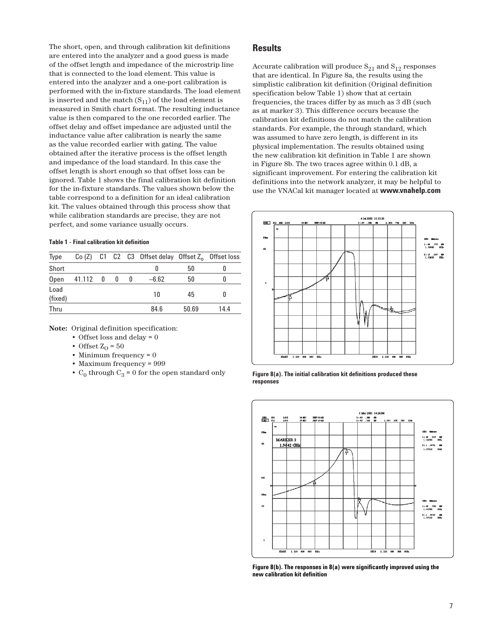The short, open, and through calibration kit definitions are entered into the analyzer and a good guess is made of the offset length and impedance of the microstrip line that is connected to the load element. This value is entered into the analyzer and a one-port calibration is performed with the in-fixture standards. The load element is inserted and the match  $(S_{11})$  of the load element is measured in Smith chart format. The resulting inductance value is then compared to the one recorded earlier. The offset delay and offset impedance are adjusted until the inductance value after calibration is nearly the same as the value recorded earlier with gating. The value obtained after the iterative process is the offset length and impedance of the load standard. In this case the offset length is short enough so that offset loss can be ignored. Table 1 shows the final calibration kit definition for the in-fixture standards. The values shown below the table correspond to a definition for an ideal calibration kit. The values obtained through this process show that while calibration standards are precise, they are not perfect, and some variance usually occurs.

#### **Table 1 - Final calibration kit definition**

| <b>Type</b>     |                  |   |              | Co $(Z)$ C1 C2 C3 Offset delay Offset $Z_0$ Offset loss |       |      |
|-----------------|------------------|---|--------------|---------------------------------------------------------|-------|------|
| Short           |                  |   |              | o                                                       | 50    |      |
| Open            | $41.112 \quad 0$ | 0 | $\mathbf{0}$ | $-6.62$                                                 | 50    |      |
| Load<br>(fixed) |                  |   |              | 10                                                      | 45    |      |
| Thru            |                  |   |              | 84.6                                                    | 50.69 | 14.4 |

**Note:** Original definition specification:

- Offset loss and delay  $= 0$
- Offset  $Z_0 = 50$
- Minimum frequency = 0
- Maximum frequency = 999
- $C_0$  through  $C_3$  = 0 for the open standard only

### **Results**

Accurate calibration will produce  $S_{21}$  and  $S_{12}$  responses that are identical. In Figure 8a, the results using the simplistic calibration kit definition (Original definition specification below Table 1) show that at certain frequencies, the traces differ by as much as 3 dB (such as at marker 3). This difference occurs because the calibration kit definitions do not match the calibration standards. For example, the through standard, which was assumed to have zero length, is different in its physical implementation. The results obtained using the new calibration kit definition in Table 1 are shown in Figure 8b. The two traces agree within 0.1 dB, a significant improvement. For entering the calibration kit definitions into the network analyzer, it may be helpful to use the VNACal kit manager located at **www.vnahelp.com**



**Figure 8(a). The initial calibration kit definitions produced these responses**



**Figure 8(b). The responses in 8(a) were significantly improved using the new calibration kit definition**